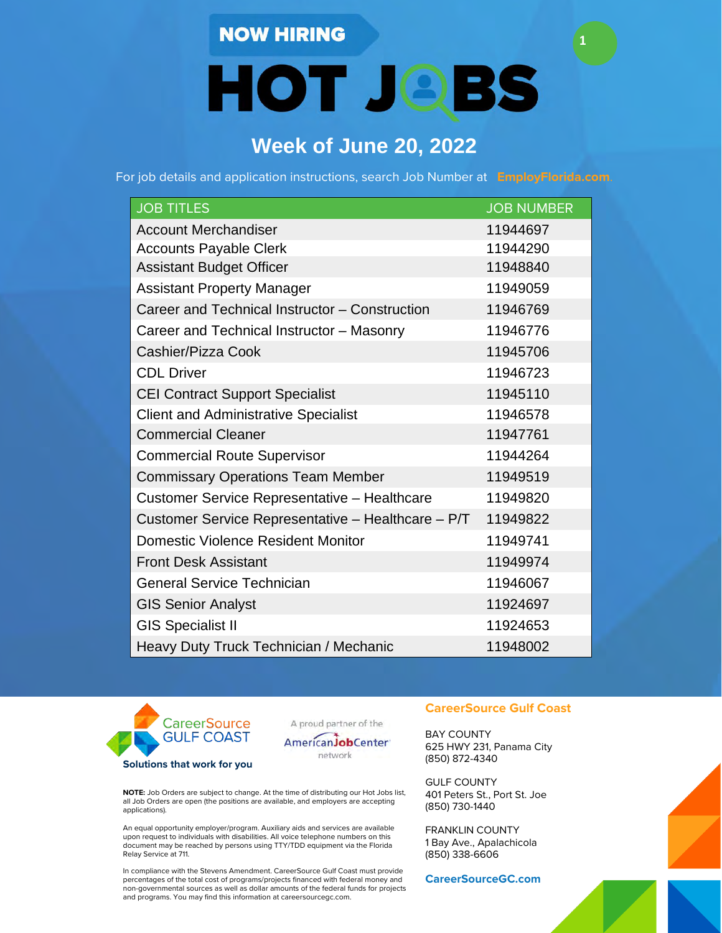## **NOW HIRING**

**HOT JOBS** 

**1**

# **Week of June 20, 2022**

For job details and application instructions, search Job Number at **EmployFlorida.com**.

| <b>JOB TITLES</b>                                  | <b>JOB NUMBER</b> |
|----------------------------------------------------|-------------------|
| <b>Account Merchandiser</b>                        | 11944697          |
| <b>Accounts Payable Clerk</b>                      | 11944290          |
| <b>Assistant Budget Officer</b>                    | 11948840          |
| <b>Assistant Property Manager</b>                  | 11949059          |
| Career and Technical Instructor - Construction     | 11946769          |
| Career and Technical Instructor - Masonry          | 11946776          |
| Cashier/Pizza Cook                                 | 11945706          |
| <b>CDL Driver</b>                                  | 11946723          |
| <b>CEI Contract Support Specialist</b>             | 11945110          |
| <b>Client and Administrative Specialist</b>        | 11946578          |
| <b>Commercial Cleaner</b>                          | 11947761          |
| <b>Commercial Route Supervisor</b>                 | 11944264          |
| <b>Commissary Operations Team Member</b>           | 11949519          |
| Customer Service Representative - Healthcare       | 11949820          |
| Customer Service Representative - Healthcare - P/T | 11949822          |
| <b>Domestic Violence Resident Monitor</b>          | 11949741          |
| <b>Front Desk Assistant</b>                        | 11949974          |
| <b>General Service Technician</b>                  | 11946067          |
| <b>GIS Senior Analyst</b>                          | 11924697          |
| <b>GIS Specialist II</b>                           | 11924653          |
| Heavy Duty Truck Technician / Mechanic             | 11948002          |



A proud partner of the



**NOTE:** Job Orders are subject to change. At the time of distributing our Hot Jobs list, all Job Orders are open (the positions are available, and employers are accepting applications).

An equal opportunity employer/program. Auxiliary aids and services are available upon request to individuals with disabilities. All voice telephone numbers on this document may be reached by persons using TTY/TDD equipment via the Florida Relay Service at 711.

In compliance with the Stevens Amendment. CareerSource Gulf Coast must provide percentages of the total cost of programs/projects financed with federal money and non-governmental sources as well as dollar amounts of the federal funds for projects and programs. You may find this information at careersourcegc.com.

#### **CareerSource Gulf Coast**

BAY COUNTY 625 HWY 231, Panama City (850) 872-4340

GULF COUNTY 401 Peters St., Port St. Joe (850) 730-1440

FRANKLIN COUNTY 1 Bay Ave., Apalachicola (850) 338-6606

**CareerSourceGC.com**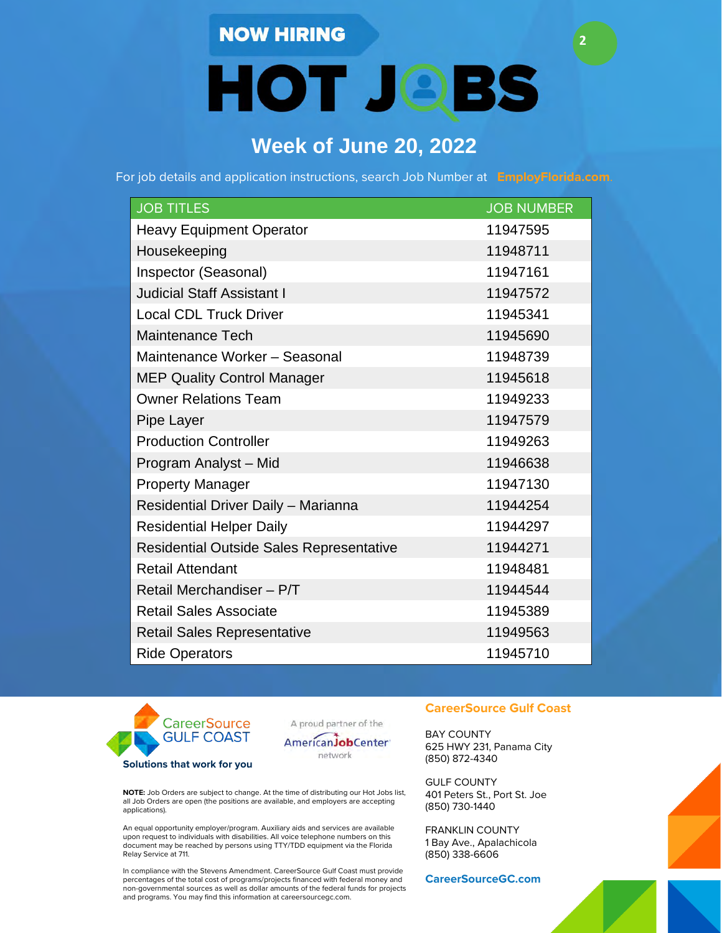### **NOW HIRING**

**HOT JOBS** 

**2**

# **Week of June 20, 2022**

For job details and application instructions, search Job Number at **EmployFlorida.com**.

| <b>JOB TITLES</b>                               | <b>JOB NUMBER</b> |
|-------------------------------------------------|-------------------|
| <b>Heavy Equipment Operator</b>                 | 11947595          |
| Housekeeping                                    | 11948711          |
| Inspector (Seasonal)                            | 11947161          |
| <b>Judicial Staff Assistant I</b>               | 11947572          |
| <b>Local CDL Truck Driver</b>                   | 11945341          |
| <b>Maintenance Tech</b>                         | 11945690          |
| Maintenance Worker - Seasonal                   | 11948739          |
| <b>MEP Quality Control Manager</b>              | 11945618          |
| <b>Owner Relations Team</b>                     | 11949233          |
| Pipe Layer                                      | 11947579          |
| <b>Production Controller</b>                    | 11949263          |
| Program Analyst - Mid                           | 11946638          |
| <b>Property Manager</b>                         | 11947130          |
| Residential Driver Daily - Marianna             | 11944254          |
| <b>Residential Helper Daily</b>                 | 11944297          |
| <b>Residential Outside Sales Representative</b> | 11944271          |
| <b>Retail Attendant</b>                         | 11948481          |
| Retail Merchandiser - P/T                       | 11944544          |
| <b>Retail Sales Associate</b>                   | 11945389          |
| <b>Retail Sales Representative</b>              | 11949563          |
| <b>Ride Operators</b>                           | 11945710          |



A proud partner of the



**NOTE:** Job Orders are subject to change. At the time of distributing our Hot Jobs list, all Job Orders are open (the positions are available, and employers are accepting applications).

An equal opportunity employer/program. Auxiliary aids and services are available upon request to individuals with disabilities. All voice telephone numbers on this document may be reached by persons using TTY/TDD equipment via the Florida Relay Service at 711.

In compliance with the Stevens Amendment. CareerSource Gulf Coast must provide percentages of the total cost of programs/projects financed with federal money and non-governmental sources as well as dollar amounts of the federal funds for projects and programs. You may find this information at careersourcegc.com.

#### **CareerSource Gulf Coast**

BAY COUNTY 625 HWY 231, Panama City (850) 872-4340

GULF COUNTY 401 Peters St., Port St. Joe (850) 730-1440

FRANKLIN COUNTY 1 Bay Ave., Apalachicola (850) 338-6606

**CareerSourceGC.com**